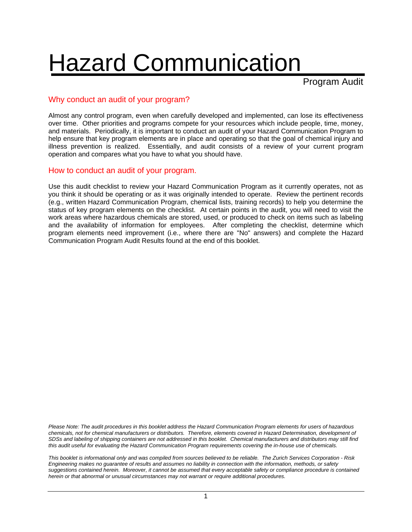# Hazard Communication

Program Audit

#### Why conduct an audit of your program?

Almost any control program, even when carefully developed and implemented, can lose its effectiveness over time. Other priorities and programs compete for your resources which include people, time, money, and materials. Periodically, it is important to conduct an audit of your Hazard Communication Program to help ensure that key program elements are in place and operating so that the goal of chemical injury and illness prevention is realized. Essentially, and audit consists of a review of your current program operation and compares what you have to what you should have.

#### How to conduct an audit of your program.

Use this audit checklist to review your Hazard Communication Program as it currently operates, not as you think it should be operating or as it was originally intended to operate. Review the pertinent records (e.g., written Hazard Communication Program, chemical lists, training records) to help you determine the status of key program elements on the checklist. At certain points in the audit, you will need to visit the work areas where hazardous chemicals are stored, used, or produced to check on items such as labeling and the availability of information for employees. After completing the checklist, determine which program elements need improvement (i.e., where there are "No" answers) and complete the Hazard Communication Program Audit Results found at the end of this booklet.

*Please Note: The audit procedures in this booklet address the Hazard Communication Program elements for users of hazardous chemicals, not for chemical manufacturers or distributors. Therefore, elements covered in Hazard Determination, development of SDSs and labeling of shipping containers are not addressed in this booklet. Chemical manufacturers and distributors may still find this audit useful for evaluating the Hazard Communication Program requirements covering the in-house use of chemicals.* 

*This booklet is informational only and was compiled from sources believed to be reliable. The Zurich Services Corporation - Risk Engineering makes no guarantee of results and assumes no liability in connection with the information, methods, or safety suggestions contained herein. Moreover, it cannot be assumed that every acceptable safety or compliance procedure is contained herein or that abnormal or unusual circumstances may not warrant or require additional procedures.*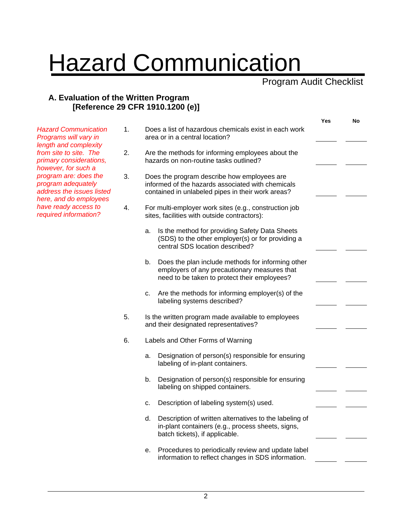# **Hazard Communication**

Program Audit Checklist

#### **A. Evaluation of the Written Program [Reference 29 CFR 1910.1200 (e)]**

|                                                                                                    |    |                                                                                                                                                         | Yes | No |
|----------------------------------------------------------------------------------------------------|----|---------------------------------------------------------------------------------------------------------------------------------------------------------|-----|----|
| <b>Hazard Communication</b><br>Programs will vary in<br>length and complexity                      | 1. | Does a list of hazardous chemicals exist in each work<br>area or in a central location?                                                                 |     |    |
| from site to site. The<br>primary considerations,<br>however, for such a                           | 2. | Are the methods for informing employees about the<br>hazards on non-routine tasks outlined?                                                             |     |    |
| program are: does the<br>program adequately<br>address the issues listed<br>here, and do employees | 3. | Does the program describe how employees are<br>informed of the hazards associated with chemicals<br>contained in unlabeled pipes in their work areas?   |     |    |
| have ready access to<br>required information?                                                      | 4. | For multi-employer work sites (e.g., construction job<br>sites, facilities with outside contractors):                                                   |     |    |
|                                                                                                    |    | Is the method for providing Safety Data Sheets<br>a.<br>(SDS) to the other employer(s) or for providing a<br>central SDS location described?            |     |    |
|                                                                                                    |    | Does the plan include methods for informing other<br>b.<br>employers of any precautionary measures that<br>need to be taken to protect their employees? |     |    |
|                                                                                                    |    | Are the methods for informing employer(s) of the<br>c.<br>labeling systems described?                                                                   |     |    |
|                                                                                                    | 5. | Is the written program made available to employees<br>and their designated representatives?                                                             |     |    |
|                                                                                                    | 6. | Labels and Other Forms of Warning                                                                                                                       |     |    |
|                                                                                                    |    | Designation of person(s) responsible for ensuring<br>a.<br>labeling of in-plant containers.                                                             |     |    |
|                                                                                                    |    | Designation of person(s) responsible for ensuring<br>b.<br>labeling on shipped containers.                                                              |     |    |
|                                                                                                    |    | Description of labeling system(s) used.<br>c.                                                                                                           |     |    |
|                                                                                                    |    | Description of written alternatives to the labeling of<br>d.<br>in-plant containers (e.g., process sheets, signs,<br>batch tickets), if applicable.     |     |    |
|                                                                                                    |    | Procedures to periodically review and update label<br>е.<br>information to reflect changes in SDS information.                                          |     |    |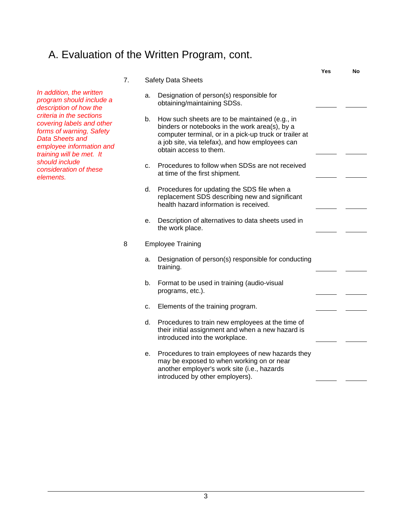#### A. Evaluation of the Written Program, cont.

|                                                                                                                                                                     |    |    |                                                                                                                                                                                                                                         | Yes | No |
|---------------------------------------------------------------------------------------------------------------------------------------------------------------------|----|----|-----------------------------------------------------------------------------------------------------------------------------------------------------------------------------------------------------------------------------------------|-----|----|
|                                                                                                                                                                     | 7. |    | <b>Safety Data Sheets</b>                                                                                                                                                                                                               |     |    |
| In addition, the written<br>program should include a<br>description of how the                                                                                      |    | a. | Designation of person(s) responsible for<br>obtaining/maintaining SDSs.                                                                                                                                                                 |     |    |
| criteria in the sections<br>covering labels and other<br>forms of warning, Safety<br><b>Data Sheets and</b><br>employee information and<br>training will be met. It |    | b. | How such sheets are to be maintained (e.g., in<br>binders or notebooks in the work area(s), by a<br>computer terminal, or in a pick-up truck or trailer at<br>a job site, via telefax), and how employees can<br>obtain access to them. |     |    |
| should include<br>consideration of these<br>elements.                                                                                                               |    | C. | Procedures to follow when SDSs are not received<br>at time of the first shipment.                                                                                                                                                       |     |    |
|                                                                                                                                                                     |    |    | d. Procedures for updating the SDS file when a<br>replacement SDS describing new and significant<br>health hazard information is received.                                                                                              |     |    |
|                                                                                                                                                                     |    | е. | Description of alternatives to data sheets used in<br>the work place.                                                                                                                                                                   |     |    |
|                                                                                                                                                                     | 8  |    | <b>Employee Training</b>                                                                                                                                                                                                                |     |    |
|                                                                                                                                                                     |    | a. | Designation of person(s) responsible for conducting<br>training.                                                                                                                                                                        |     |    |
|                                                                                                                                                                     |    | b. | Format to be used in training (audio-visual<br>programs, etc.).                                                                                                                                                                         |     |    |
|                                                                                                                                                                     |    | C. | Elements of the training program.                                                                                                                                                                                                       |     |    |
|                                                                                                                                                                     |    |    | d. Procedures to train new employees at the time of<br>their initial assignment and when a new hazard is<br>introduced into the workplace.                                                                                              |     |    |
|                                                                                                                                                                     |    | е. | Procedures to train employees of new hazards they<br>may be exposed to when working on or near<br>another employer's work site (i.e., hazards<br>introduced by other employers).                                                        |     |    |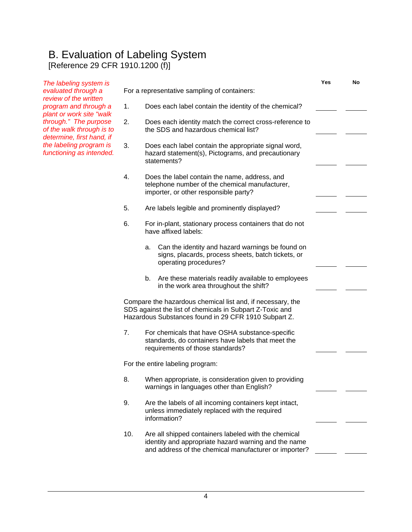#### B. Evaluation of Labeling System [Reference 29 CFR 1910.1200 (f)]

*The labeling system is evaluated through a review of the written program and through a plant or work site "walk through." The purpose of the walk through is to determine, first hand, if the labeling program is functioning as intended.* **Yes No**  For a representative sampling of containers: 1. Does each label contain the identity of the chemical? 2. Does each identity match the correct cross-reference to the SDS and hazardous chemical list? 3. Does each label contain the appropriate signal word, hazard statement(s), Pictograms, and precautionary statements? 4. Does the label contain the name, address, and telephone number of the chemical manufacturer, importer, or other responsible party? 5. Are labels legible and prominently displayed? 6. For in-plant, stationary process containers that do not have affixed labels: a. Can the identity and hazard warnings be found on signs, placards, process sheets, batch tickets, or operating procedures? b. Are these materials readily available to employees in the work area throughout the shift? Compare the hazardous chemical list and, if necessary, the SDS against the list of chemicals in Subpart Z-Toxic and Hazardous Substances found in 29 CFR 1910 Subpart Z. 7. For chemicals that have OSHA substance-specific standards, do containers have labels that meet the requirements of those standards? For the entire labeling program: 8. When appropriate, is consideration given to providing warnings in languages other than English? 9. Are the labels of all incoming containers kept intact, unless immediately replaced with the required information? 10. Are all shipped containers labeled with the chemical identity and appropriate hazard warning and the name and address of the chemical manufacturer or importer?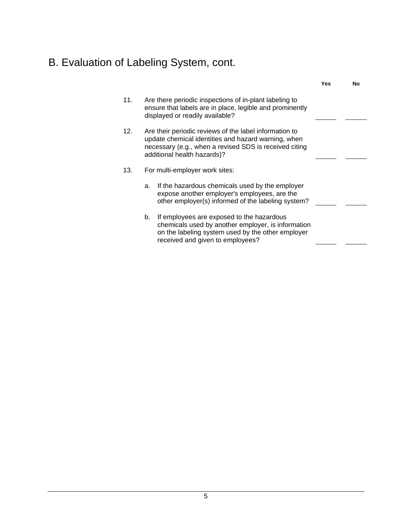## B. Evaluation of Labeling System, cont.

|     |    |                                                                                                                                                                                                        | Yes | Nο |
|-----|----|--------------------------------------------------------------------------------------------------------------------------------------------------------------------------------------------------------|-----|----|
| 11. |    | Are there periodic inspections of in-plant labeling to<br>ensure that labels are in place, legible and prominently<br>displayed or readily available?                                                  |     |    |
| 12. |    | Are their periodic reviews of the label information to<br>update chemical identities and hazard warning, when<br>necessary (e.g., when a revised SDS is received citing<br>additional health hazards)? |     |    |
| 13. |    | For multi-employer work sites:                                                                                                                                                                         |     |    |
|     | a. | If the hazardous chemicals used by the employer<br>expose another employer's employees, are the<br>other employer(s) informed of the labeling system?                                                  |     |    |
|     | b. | If employees are exposed to the hazardous<br>chemicals used by another employer, is information<br>on the labeling system used by the other employer<br>received and given to employees?               |     |    |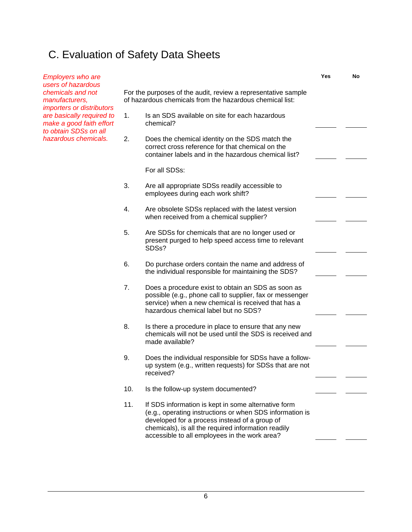## C. Evaluation of Safety Data Sheets

| <b>Employers who are</b><br>users of hazardous                                 |                                                                                                                           |                                                                                                                                                                                                                                                                          | Yes | No |
|--------------------------------------------------------------------------------|---------------------------------------------------------------------------------------------------------------------------|--------------------------------------------------------------------------------------------------------------------------------------------------------------------------------------------------------------------------------------------------------------------------|-----|----|
| chemicals and not<br>manufacturers,<br><i>importers or distributors</i>        | For the purposes of the audit, review a representative sample<br>of hazardous chemicals from the hazardous chemical list: |                                                                                                                                                                                                                                                                          |     |    |
| are basically required to<br>make a good faith effort<br>to obtain SDSs on all | 1.                                                                                                                        | Is an SDS available on site for each hazardous<br>chemical?                                                                                                                                                                                                              |     |    |
| hazardous chemicals.                                                           | 2.                                                                                                                        | Does the chemical identity on the SDS match the<br>correct cross reference for that chemical on the<br>container labels and in the hazardous chemical list?                                                                                                              |     |    |
|                                                                                |                                                                                                                           | For all SDSs:                                                                                                                                                                                                                                                            |     |    |
|                                                                                | 3.                                                                                                                        | Are all appropriate SDSs readily accessible to<br>employees during each work shift?                                                                                                                                                                                      |     |    |
|                                                                                | 4.                                                                                                                        | Are obsolete SDSs replaced with the latest version<br>when received from a chemical supplier?                                                                                                                                                                            |     |    |
|                                                                                | 5.                                                                                                                        | Are SDSs for chemicals that are no longer used or<br>present purged to help speed access time to relevant<br>SDSs?                                                                                                                                                       |     |    |
|                                                                                | 6.                                                                                                                        | Do purchase orders contain the name and address of<br>the individual responsible for maintaining the SDS?                                                                                                                                                                |     |    |
|                                                                                | 7.                                                                                                                        | Does a procedure exist to obtain an SDS as soon as<br>possible (e.g., phone call to supplier, fax or messenger<br>service) when a new chemical is received that has a<br>hazardous chemical label but no SDS?                                                            |     |    |
|                                                                                | 8.                                                                                                                        | Is there a procedure in place to ensure that any new<br>chemicals will not be used until the SDS is received and<br>made available?                                                                                                                                      |     |    |
|                                                                                | 9.                                                                                                                        | Does the individual responsible for SDSs have a follow-<br>up system (e.g., written requests) for SDSs that are not<br>received?                                                                                                                                         |     |    |
|                                                                                | 10.                                                                                                                       | Is the follow-up system documented?                                                                                                                                                                                                                                      |     |    |
|                                                                                | 11.                                                                                                                       | If SDS information is kept in some alternative form<br>(e.g., operating instructions or when SDS information is<br>developed for a process instead of a group of<br>chemicals), is all the required information readily<br>accessible to all employees in the work area? |     |    |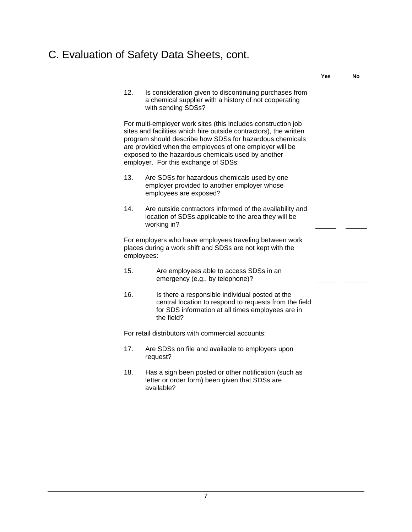## C. Evaluation of Safety Data Sheets, cont.

|            |                                                                                                                                                                                                                                                                                                                                                         | <b>Yes</b> | No |
|------------|---------------------------------------------------------------------------------------------------------------------------------------------------------------------------------------------------------------------------------------------------------------------------------------------------------------------------------------------------------|------------|----|
| 12.        | Is consideration given to discontinuing purchases from<br>a chemical supplier with a history of not cooperating<br>with sending SDSs?                                                                                                                                                                                                                   |            |    |
|            | For multi-employer work sites (this includes construction job<br>sites and facilities which hire outside contractors), the written<br>program should describe how SDSs for hazardous chemicals<br>are provided when the employees of one employer will be<br>exposed to the hazardous chemicals used by another<br>employer. For this exchange of SDSs: |            |    |
| 13.        | Are SDSs for hazardous chemicals used by one<br>employer provided to another employer whose<br>employees are exposed?                                                                                                                                                                                                                                   |            |    |
| 14.        | Are outside contractors informed of the availability and<br>location of SDSs applicable to the area they will be<br>working in?                                                                                                                                                                                                                         |            |    |
| employees: | For employers who have employees traveling between work<br>places during a work shift and SDSs are not kept with the                                                                                                                                                                                                                                    |            |    |
| 15.        | Are employees able to access SDSs in an<br>emergency (e.g., by telephone)?                                                                                                                                                                                                                                                                              |            |    |
| 16.        | Is there a responsible individual posted at the<br>central location to respond to requests from the field<br>for SDS information at all times employees are in<br>the field?                                                                                                                                                                            |            |    |
|            | For retail distributors with commercial accounts:                                                                                                                                                                                                                                                                                                       |            |    |
| 17.        | Are SDSs on file and available to employers upon<br>request?                                                                                                                                                                                                                                                                                            |            |    |
| 18.        | Has a sign been posted or other notification (such as<br>letter or order form) been given that SDSs are<br>available?                                                                                                                                                                                                                                   |            |    |
|            |                                                                                                                                                                                                                                                                                                                                                         |            |    |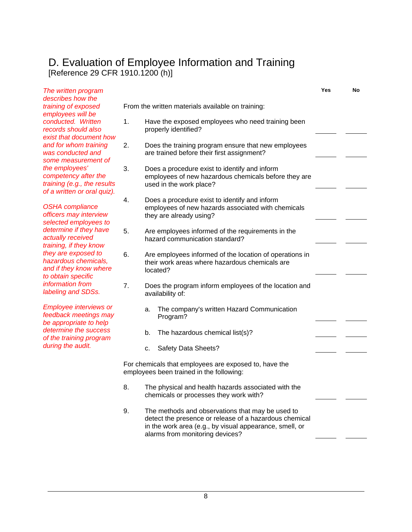#### D. Evaluation of Employee Information and Training [Reference 29 CFR 1910.1200 (h)]

| The written program                                                                                  |    |    |                                                                                                                                                                                                          | Yes | No |
|------------------------------------------------------------------------------------------------------|----|----|----------------------------------------------------------------------------------------------------------------------------------------------------------------------------------------------------------|-----|----|
| describes how the<br>training of exposed<br>employees will be                                        |    |    | From the written materials available on training:                                                                                                                                                        |     |    |
| conducted. Written<br>records should also<br>exist that document how                                 | 1. |    | Have the exposed employees who need training been<br>properly identified?                                                                                                                                |     |    |
| and for whom training<br>was conducted and<br>some measurement of                                    | 2. |    | Does the training program ensure that new employees<br>are trained before their first assignment?                                                                                                        |     |    |
| the employees'<br>competency after the<br>training (e.g., the results<br>of a written or oral quiz). | 3. |    | Does a procedure exist to identify and inform<br>employees of new hazardous chemicals before they are<br>used in the work place?                                                                         |     |    |
| <b>OSHA</b> compliance<br>officers may interview<br>selected employees to                            | 4. |    | Does a procedure exist to identify and inform<br>employees of new hazards associated with chemicals<br>they are already using?                                                                           |     |    |
| determine if they have<br>actually received<br>training, if they know                                | 5. |    | Are employees informed of the requirements in the<br>hazard communication standard?                                                                                                                      |     |    |
| they are exposed to<br>hazardous chemicals,<br>and if they know where<br>to obtain specific          | 6. |    | Are employees informed of the location of operations in<br>their work areas where hazardous chemicals are<br>located?                                                                                    |     |    |
| information from<br>labeling and SDSs.                                                               | 7. |    | Does the program inform employees of the location and<br>availability of:                                                                                                                                |     |    |
| <b>Employee interviews or</b><br>feedback meetings may<br>be appropriate to help                     |    | a. | The company's written Hazard Communication<br>Program?                                                                                                                                                   |     |    |
| determine the success<br>of the training program                                                     |    | b. | The hazardous chemical list(s)?                                                                                                                                                                          |     |    |
| during the audit.                                                                                    |    | c. | Safety Data Sheets?                                                                                                                                                                                      |     |    |
|                                                                                                      |    |    | For chemicals that employees are exposed to, have the<br>employees been trained in the following:                                                                                                        |     |    |
|                                                                                                      | 8. |    | The physical and health hazards associated with the<br>chemicals or processes they work with?                                                                                                            |     |    |
|                                                                                                      | 9. |    | The methods and observations that may be used to<br>detect the presence or release of a hazardous chemical<br>in the work area (e.g., by visual appearance, smell, or<br>alarms from monitoring devices? |     |    |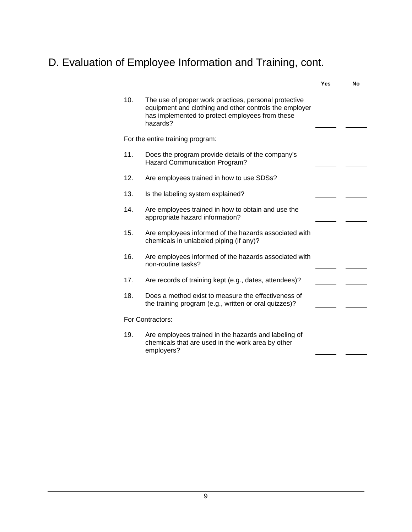## D. Evaluation of Employee Information and Training, cont.

|     |                                                                                                                                                                                | Yes | No |
|-----|--------------------------------------------------------------------------------------------------------------------------------------------------------------------------------|-----|----|
| 10. | The use of proper work practices, personal protective<br>equipment and clothing and other controls the employer<br>has implemented to protect employees from these<br>hazards? |     |    |
|     | For the entire training program:                                                                                                                                               |     |    |
| 11. | Does the program provide details of the company's<br><b>Hazard Communication Program?</b>                                                                                      |     |    |
| 12. | Are employees trained in how to use SDSs?                                                                                                                                      |     |    |
| 13. | Is the labeling system explained?                                                                                                                                              |     |    |
| 14. | Are employees trained in how to obtain and use the<br>appropriate hazard information?                                                                                          |     |    |
| 15. | Are employees informed of the hazards associated with<br>chemicals in unlabeled piping (if any)?                                                                               |     |    |
| 16. | Are employees informed of the hazards associated with<br>non-routine tasks?                                                                                                    |     |    |
| 17. | Are records of training kept (e.g., dates, attendees)?                                                                                                                         |     |    |
| 18. | Does a method exist to measure the effectiveness of<br>the training program (e.g., written or oral quizzes)?                                                                   |     |    |
|     | For Contractors:                                                                                                                                                               |     |    |
| 19. | Are employees trained in the hazards and labeling of<br>chemicals that are used in the work area by other<br>employers?                                                        |     |    |